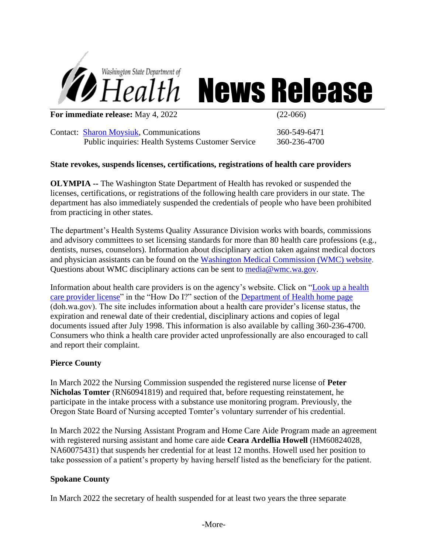

# *Health* News Release

**For immediate release:** May 4, 2022 (22-066)

Contact: [Sharon Moysiuk,](mailto:Sharon.moysiuk@doh.wa.gov) Communications 360-549-6471 Public inquiries: Health Systems Customer Service 360-236-4700

### **State revokes, suspends licenses, certifications, registrations of health care providers**

**OLYMPIA --** The Washington State Department of Health has revoked or suspended the licenses, certifications, or registrations of the following health care providers in our state. The department has also immediately suspended the credentials of people who have been prohibited from practicing in other states.

The department's Health Systems Quality Assurance Division works with boards, commissions and advisory committees to set licensing standards for more than 80 health care professions (e.g., dentists, nurses, counselors). Information about disciplinary action taken against medical doctors and physician assistants can be found on the [Washington Medical Commission \(WMC\) website.](http://www.wmc.wa.gov/) Questions about WMC disciplinary actions can be sent to [media@wmc.wa.gov.](mailto:media@wmc.wa.gov)

Information about health care providers is on the agency's website. Click on ["Look up a health](https://fortress.wa.gov/doh/providercredentialsearch/) [care provider license"](https://fortress.wa.gov/doh/providercredentialsearch/) in the "How Do I?" section of the [Department of Health home page](http://www.doh.wa.gov/Home.aspx) (doh.wa.gov). The site includes information about a health care provider's license status, the expiration and renewal date of their credential, disciplinary actions and copies of legal documents issued after July 1998. This information is also available by calling 360-236-4700. Consumers who think a health care provider acted unprofessionally are also encouraged to call and report their complaint.

#### **Pierce County**

In March 2022 the Nursing Commission suspended the registered nurse license of **Peter Nicholas Tomter** (RN60941819) and required that, before requesting reinstatement, he participate in the intake process with a substance use monitoring program. Previously, the Oregon State Board of Nursing accepted Tomter's voluntary surrender of his credential.

In March 2022 the Nursing Assistant Program and Home Care Aide Program made an agreement with registered nursing assistant and home care aide **Ceara Ardellia Howell** (HM60824028, NA60075431) that suspends her credential for at least 12 months. Howell used her position to take possession of a patient's property by having herself listed as the beneficiary for the patient.

#### **Spokane County**

In March 2022 the secretary of health suspended for at least two years the three separate